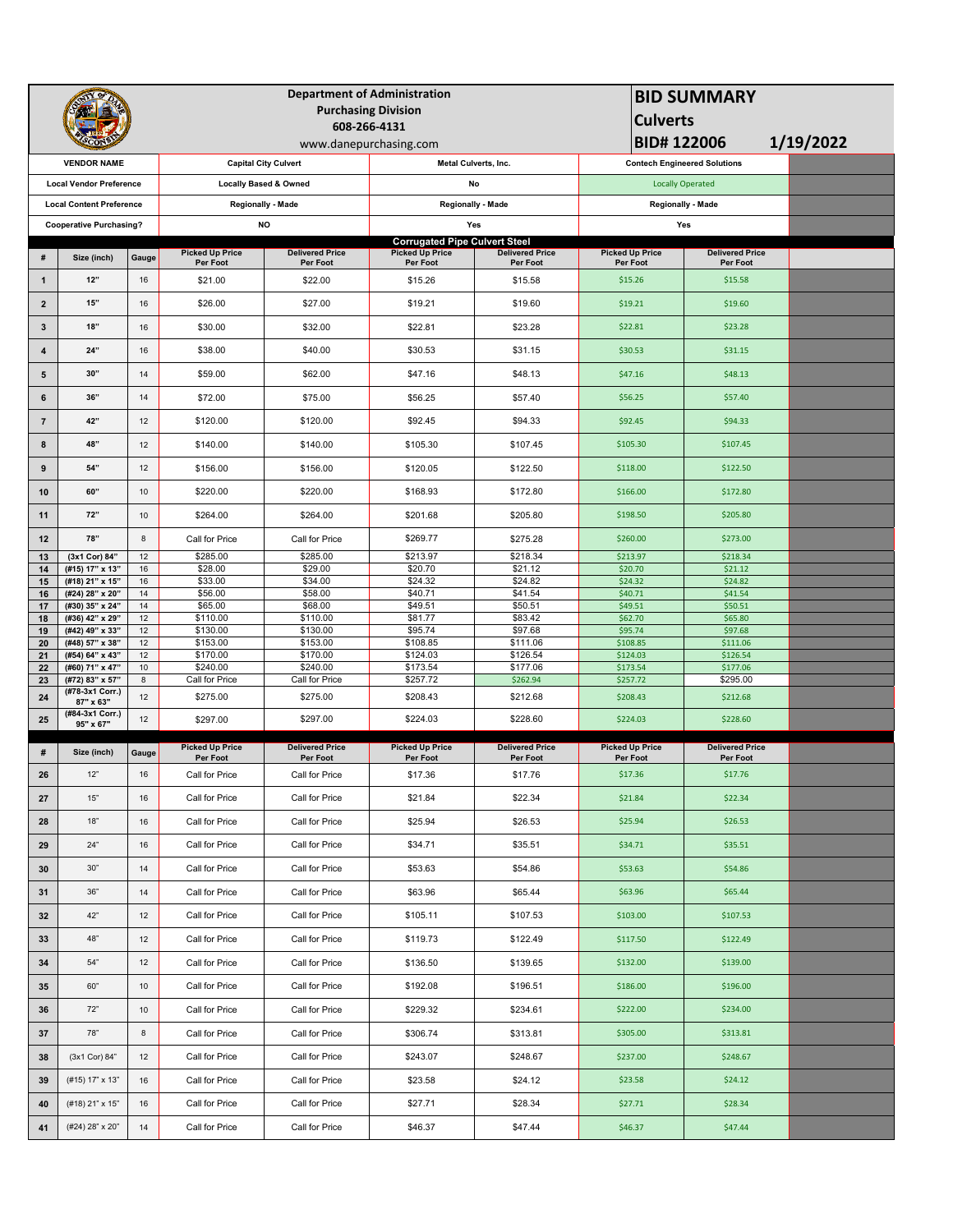|                                | $\sim$ $\alpha$                           |              |                            | 608-266-4131                                          | <b>Department of Administration</b><br><b>Purchasing Division</b> | <b>BID SUMMARY</b><br><b>Culverts</b><br>1/19/2022<br><b>BID#122006</b> |                          |                                     |  |  |  |  |
|--------------------------------|-------------------------------------------|--------------|----------------------------|-------------------------------------------------------|-------------------------------------------------------------------|-------------------------------------------------------------------------|--------------------------|-------------------------------------|--|--|--|--|
|                                | <b>VENDOR NAME</b>                        |              |                            | www.danepurchasing.com<br><b>Capital City Culvert</b> |                                                                   | Metal Culverts, Inc.                                                    |                          | <b>Contech Engineered Solutions</b> |  |  |  |  |
|                                | <b>Local Vendor Preference</b>            |              |                            | <b>Locally Based &amp; Owned</b>                      |                                                                   | <b>No</b>                                                               | <b>Locally Operated</b>  |                                     |  |  |  |  |
|                                | <b>Local Content Preference</b>           |              |                            | <b>Regionally - Made</b>                              |                                                                   | <b>Regionally - Made</b>                                                | <b>Regionally - Made</b> |                                     |  |  |  |  |
| <b>Cooperative Purchasing?</b> |                                           |              |                            | <b>NO</b>                                             |                                                                   | Yes                                                                     | Yes                      |                                     |  |  |  |  |
|                                |                                           |              | <b>Picked Up Price</b>     | <b>Delivered Price</b>                                | <b>Corrugated Pipe Culvert Steel</b><br><b>Picked Up Price</b>    | <b>Delivered Price</b>                                                  | <b>Picked Up Price</b>   | <b>Delivered Price</b>              |  |  |  |  |
| #                              | Size (inch)                               | Gauge        | Per Foot                   | Per Foot                                              | Per Foot                                                          | Per Foot                                                                | Per Foot                 | Per Foot                            |  |  |  |  |
| $\mathbf 1$                    | 12"                                       | 16           | \$21.00                    | \$22.00                                               | \$15.26                                                           | \$15.58                                                                 | \$15.26                  | \$15.58                             |  |  |  |  |
| $\boldsymbol{2}$               | 15"                                       | 16           | \$26.00                    | \$27.00                                               | \$19.21                                                           | \$19.60                                                                 | \$19.21                  | \$19.60                             |  |  |  |  |
| $\mathbf{3}$                   | 18"                                       | 16           | \$30.00                    | \$32.00                                               | \$22.81                                                           | \$23.28                                                                 | \$22.81                  | \$23.28                             |  |  |  |  |
| $\boldsymbol{4}$               | 24"                                       | 16           | \$38.00                    | \$40.00                                               | \$30.53                                                           | \$31.15                                                                 | \$30.53                  | \$31.15                             |  |  |  |  |
| 5                              | 30"                                       | 14           | \$59.00                    | \$62.00                                               | \$47.16                                                           | \$48.13                                                                 | \$47.16                  | \$48.13                             |  |  |  |  |
| 6                              | 36"                                       | 14           | \$72.00                    | \$75.00                                               | \$56.25                                                           | \$57.40                                                                 | \$56.25                  | \$57.40                             |  |  |  |  |
| $\overline{7}$                 | 42"                                       | 12           | \$120.00                   | \$120.00                                              | \$92.45                                                           | \$94.33                                                                 | \$92.45                  | \$94.33                             |  |  |  |  |
| 8                              | 48"                                       | 12           | \$140.00                   | \$140.00                                              | \$105.30                                                          | \$107.45                                                                | \$105.30                 | \$107.45                            |  |  |  |  |
| $\pmb{9}$                      | 54"                                       | 12           | \$156.00                   | \$156.00                                              | \$120.05                                                          | \$122.50                                                                | \$118.00                 | \$122.50                            |  |  |  |  |
| 10                             | 60"                                       | $10$         | \$220.00                   | \$220.00                                              | \$168.93                                                          | \$172.80                                                                | \$166.00                 | \$172.80                            |  |  |  |  |
| 11                             | 72"                                       | $10$         | \$264.00                   | \$264.00                                              | \$201.68                                                          | \$205.80                                                                | \$198.50                 | \$205.80                            |  |  |  |  |
| 12                             | 78"                                       | 8            | Call for Price             | Call for Price                                        | \$269.77                                                          | \$275.28                                                                | \$260.00                 | \$273.00                            |  |  |  |  |
| 13<br>14                       | (3x1 Cor) 84"<br>(#15) 17" x 13"          | 12<br>16     | \$285.00<br>\$28.00        | \$285.00<br>\$29.00                                   | \$213.97<br>\$20.70                                               | \$218.34<br>\$21.12                                                     | \$213.97<br>\$20.70      | \$218.34<br>\$21.12                 |  |  |  |  |
| 15                             | (#18) 21" x 15"                           | $16\,$       | \$33.00                    | \$34.00                                               | \$24.32                                                           | \$24.82                                                                 | \$24.32                  | \$24.82                             |  |  |  |  |
| 16                             | (#24) 28" x 20"                           | 14           | \$56.00                    | \$58.00                                               | \$40.71                                                           | \$41.54                                                                 | \$40.71                  | \$41.54                             |  |  |  |  |
| 17                             | (#30) 35" x 24"<br>(#36) 42" x 29"        | 14<br>12     | \$65.00                    | \$68.00                                               | \$49.51                                                           | \$50.51                                                                 | \$49.51<br>\$62.70       | \$50.51<br>\$65.80                  |  |  |  |  |
| 18<br>19                       | (#42) 49" x 33"                           | 12           | \$110.00<br>\$130.00       | \$110.00<br>\$130.00                                  | \$81.77<br>\$95.74                                                | \$83.42<br>\$97.68                                                      | \$95.74                  | \$97.68                             |  |  |  |  |
| 20                             | (#48) 57" x 38"                           | 12           | \$153.00                   | \$153.00                                              | \$108.85                                                          | \$111.06                                                                | \$108.85                 | \$111.06                            |  |  |  |  |
| 21                             | (#54) 64" x 43"                           | 12           | \$170.00                   | \$170.00                                              | \$124.03                                                          | \$126.54                                                                | \$124.03                 | \$126.54                            |  |  |  |  |
| 22                             | (#60) 71" x 47"                           | 10           | \$240.00                   | \$240.00                                              | \$173.54                                                          | \$177.06                                                                | \$173.54                 | \$177.06                            |  |  |  |  |
| 23<br>24                       | (#72) 83" x 57"<br>(#78-3x1 Corr.)        | $\bf8$<br>12 | Call for Price<br>\$275.00 | Call for Price<br>\$275.00                            | \$257.72<br>\$208.43                                              | \$262.94<br>\$212.68                                                    | \$257.72<br>\$208.43     | \$295.00<br>\$212.68                |  |  |  |  |
| 25                             | 87" x 63"<br>(#84-3x1 Corr.)<br>95" x 67" | 12           | \$297.00                   | \$297.00                                              | \$224.03                                                          | \$228.60                                                                | \$224.03                 | \$228.60                            |  |  |  |  |
|                                |                                           |              | <b>Picked Up Price</b>     | <b>Delivered Price</b>                                | <b>Picked Up Price</b>                                            | <b>Delivered Price</b>                                                  | <b>Picked Up Price</b>   | <b>Delivered Price</b>              |  |  |  |  |
| #                              | Size (inch)                               | Gauge        | Per Foot                   | Per Foot                                              | Per Foot                                                          | Per Foot                                                                | Per Foot                 | Per Foot                            |  |  |  |  |
| 26                             | 12"                                       | 16           | Call for Price             | Call for Price                                        | \$17.36                                                           | \$17.76                                                                 | \$17.36                  | \$17.76                             |  |  |  |  |
| 27                             | $15"$                                     | 16           | Call for Price             | Call for Price                                        | \$21.84                                                           | \$22.34                                                                 | \$21.84                  | \$22.34                             |  |  |  |  |
| 28                             | 18"                                       | 16           | Call for Price             | Call for Price                                        | \$25.94                                                           | \$26.53                                                                 | \$25.94                  | \$26.53                             |  |  |  |  |
| 29                             | 24"                                       | 16           | Call for Price             | Call for Price                                        | \$34.71                                                           | \$35.51                                                                 | \$34.71                  | \$35.51                             |  |  |  |  |
| 30                             | 30"                                       | 14           | Call for Price             | Call for Price                                        | \$53.63                                                           | \$54.86                                                                 | \$53.63                  | \$54.86                             |  |  |  |  |
| 31                             | 36"                                       | 14           | Call for Price             | Call for Price                                        | \$63.96                                                           | \$65.44                                                                 | \$63.96                  | \$65.44                             |  |  |  |  |
| 32                             | 42"                                       | 12           | Call for Price             | Call for Price                                        | \$105.11                                                          | \$107.53                                                                | \$103.00                 | \$107.53                            |  |  |  |  |
| 33                             | 48"                                       | 12           | Call for Price             | Call for Price                                        | \$119.73                                                          | \$122.49                                                                | \$117.50                 | \$122.49                            |  |  |  |  |
| 34                             | $54^{\circ}$                              | 12           | Call for Price             | Call for Price                                        | \$136.50                                                          | \$139.65                                                                | \$132.00                 | \$139.00                            |  |  |  |  |
| 35                             | 60"                                       | 10           | Call for Price             | Call for Price                                        | \$192.08                                                          | \$196.51                                                                | \$186.00                 | \$196.00                            |  |  |  |  |
| 36                             | 72"                                       | 10           | Call for Price             | Call for Price                                        | \$229.32                                                          | \$234.61                                                                | \$222.00                 | \$234.00                            |  |  |  |  |
| 37                             | 78"                                       | 8            | Call for Price             | Call for Price                                        | \$306.74                                                          | \$313.81                                                                | \$305.00                 | \$313.81                            |  |  |  |  |
| 38                             | (3x1 Cor) 84"                             | 12           | Call for Price             | Call for Price                                        | \$243.07                                                          | \$248.67                                                                | \$237.00                 | \$248.67                            |  |  |  |  |
| 39                             | (#15) 17" x 13"                           | 16           | Call for Price             | Call for Price                                        | \$23.58                                                           | \$24.12                                                                 | \$23.58                  | \$24.12                             |  |  |  |  |
| 40                             | (#18) 21" x 15"                           | 16           | Call for Price             | Call for Price                                        | \$27.71                                                           | \$28.34                                                                 | \$27.71                  | \$28.34                             |  |  |  |  |
| 41                             | (#24) 28" x 20"                           | 14           | Call for Price             | Call for Price                                        | \$46.37                                                           | \$47.44                                                                 | \$46.37                  | \$47.44                             |  |  |  |  |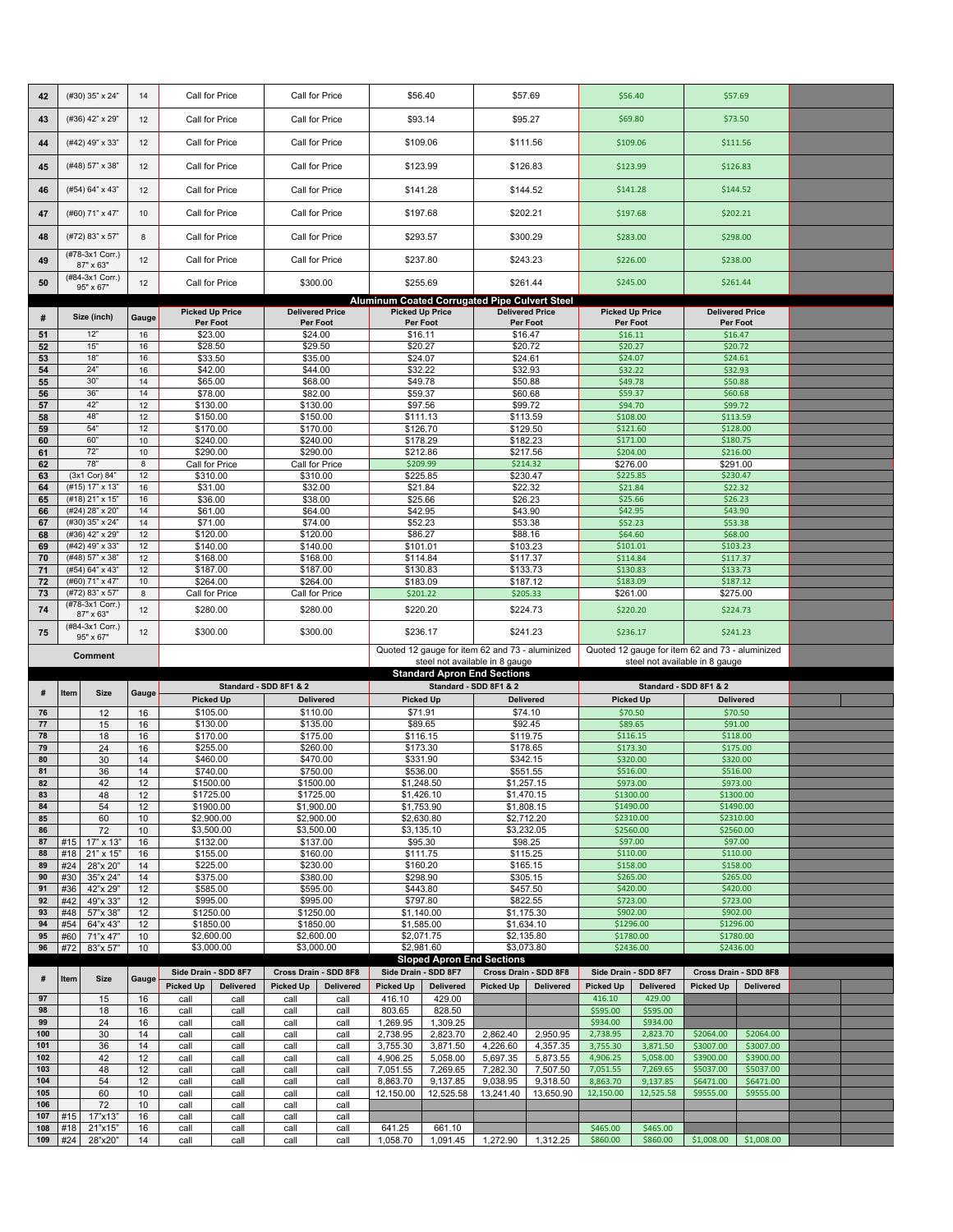| 42         |            | (#30) 35" x 24"                               | 14                               |                      | Call for Price                     |                                                           | Call for Price                     | \$56.40                            |                                                 | \$57.69                            |                       |                                    | \$56.40              | \$57.69                                         |                       |  |
|------------|------------|-----------------------------------------------|----------------------------------|----------------------|------------------------------------|-----------------------------------------------------------|------------------------------------|------------------------------------|-------------------------------------------------|------------------------------------|-----------------------|------------------------------------|----------------------|-------------------------------------------------|-----------------------|--|
| 43         |            | (#36) 42" x 29"                               | 12                               |                      | Call for Price                     |                                                           | Call for Price                     |                                    | \$93.14                                         |                                    | \$95.27               |                                    | \$69.80              |                                                 | \$73.50               |  |
| 44         |            | (#42) 49" x 33"                               | 12                               |                      | Call for Price                     |                                                           | Call for Price                     | \$109.06                           |                                                 | \$111.56                           |                       | \$109.06                           |                      | \$111.56                                        |                       |  |
| 45         |            | (#48) 57" x 38"                               | 12                               |                      | Call for Price                     | Call for Price                                            |                                    | \$123.99                           |                                                 | \$126.83                           |                       | \$123.99                           |                      | \$126.83                                        |                       |  |
| 46         |            | (#54) 64" x 43"                               | 12                               |                      | Call for Price                     | Call for Price                                            |                                    | \$141.28                           |                                                 | \$144.52                           |                       | \$141.28                           |                      | \$144.52                                        |                       |  |
| 47         |            | (#60) 71" x 47"                               | 10                               |                      | Call for Price                     | Call for Price                                            |                                    | \$197.68                           |                                                 | \$202.21                           |                       | \$197.68                           |                      | \$202.21                                        |                       |  |
| 48         |            | (#72) 83" x 57"                               | 8                                |                      | Call for Price                     | Call for Price                                            |                                    | \$293.57                           |                                                 | \$300.29                           |                       | \$283.00                           |                      | \$298.00                                        |                       |  |
| 49         |            | (#78-3x1 Corr.)                               | 12                               |                      | Call for Price                     |                                                           |                                    | \$237.80                           |                                                 | \$243.23                           |                       |                                    |                      | \$238.00                                        |                       |  |
|            |            | 87" x 63"<br>(#84-3x1 Corr.)                  |                                  |                      |                                    | Call for Price                                            |                                    |                                    |                                                 | \$261.44                           |                       | \$226.00<br>\$245.00               |                      | \$261.44                                        |                       |  |
| 50         |            | 95" x 67"                                     | 12<br>Call for Price<br>\$300.00 |                      |                                    | \$255.69<br>Aluminum Coated Corrugated Pipe Culvert Steel |                                    |                                    |                                                 |                                    |                       |                                    |                      |                                                 |                       |  |
| #          |            | Size (inch)                                   | Gauge                            |                      | <b>Picked Up Price</b><br>Per Foot |                                                           | <b>Delivered Price</b><br>Per Foot | <b>Picked Up Price</b><br>Per Foot |                                                 | <b>Delivered Price</b><br>Per Foot |                       | <b>Picked Up Price</b><br>Per Foot |                      | <b>Delivered Price</b><br>Per Foot              |                       |  |
| 51         |            | 12"                                           | 16                               | \$23.00              |                                    |                                                           | \$24.00                            | \$16.11                            |                                                 | \$16.47                            |                       | \$16.11                            |                      | \$16.47                                         |                       |  |
| 52         |            | 15"                                           | 16                               | \$28.50              |                                    |                                                           | \$29.50                            | \$20.27                            |                                                 | \$20.72                            |                       | \$20.27                            |                      | \$20.72                                         |                       |  |
| 53         |            | 18"                                           | 16                               | \$33.50              |                                    |                                                           | \$35.00                            | \$24.07                            |                                                 |                                    | \$24.61               | \$24.07                            |                      | \$24.61                                         |                       |  |
| 54         |            | 24"                                           | 16                               | \$42.00              |                                    |                                                           | \$44.00                            | \$32.22                            |                                                 | \$32.93                            |                       | \$32.22                            |                      | \$32.93                                         |                       |  |
| 55         |            | 30"                                           | 14                               | \$65.00              |                                    |                                                           | \$68.00                            | \$49.78                            |                                                 | \$50.88<br>\$60.68                 |                       | \$49.78                            |                      | \$50.88                                         |                       |  |
| 56         |            | 36"<br>42"                                    | 14<br>12                         | \$78.00              | \$130.00                           |                                                           | \$82.00                            | \$59.37<br>\$97.56                 |                                                 |                                    |                       | \$59.37                            | \$94.70              | \$60.68                                         | \$99.72               |  |
| 57<br>58   |            | 48"                                           | 12                               | \$150.00             |                                    | \$150.00                                                  | \$130.00                           | \$111.13                           |                                                 | \$99.72<br>\$113.59                |                       | \$108.00                           |                      | \$113.59                                        |                       |  |
| 59         |            | 54"                                           | 12                               | \$170.00             |                                    |                                                           | \$170.00                           | \$126.70                           |                                                 |                                    |                       | \$121.60                           |                      |                                                 | \$128.00              |  |
| 60         |            | 60"                                           | 10                               |                      | \$240.00                           |                                                           | \$240.00                           | \$178.29                           |                                                 | \$129.50<br>\$182.23               |                       | \$171.00                           |                      | \$180.75                                        |                       |  |
| 61         |            | 72"                                           | 10                               |                      | \$290.00                           |                                                           | \$290.00                           | \$212.86                           |                                                 |                                    | \$217.56              |                                    | \$204.00             |                                                 | \$216.00              |  |
| 62         |            | 78"                                           | 8                                |                      | Call for Price                     |                                                           | Call for Price                     | \$209.99                           |                                                 | \$214.32                           |                       | \$276.00                           |                      | \$291.00                                        |                       |  |
| 63         |            | (3x1 Cor) 84"                                 | 12                               |                      | \$310.00                           |                                                           | \$310.00                           |                                    | \$225.85                                        |                                    | \$230.47              | \$225.85                           |                      | \$230.47                                        |                       |  |
| 64         |            | $(#15) 17" \times 13"$                        | 16                               | \$31.00              |                                    |                                                           | \$32.00                            | \$21.84                            |                                                 |                                    | \$22.32               | \$21.84                            |                      | \$22.32                                         |                       |  |
| 65         |            | (#18) 21" x 15"                               | 16                               | \$36.00              |                                    |                                                           | \$38.00                            | \$25.66                            |                                                 | \$26.23                            |                       | \$25.66                            |                      | \$26.23                                         |                       |  |
| 66         |            | (#24) 28" x 20"                               | 14                               | \$61.00              |                                    |                                                           | \$64.00                            | \$42.95                            |                                                 | \$43.90                            |                       | \$42.95                            |                      | \$43.90                                         |                       |  |
| 67         |            | (#30) 35" x 24"<br>14<br>\$71.00<br>\$74.00   |                                  |                      | \$52.23                            |                                                           | \$53.38                            |                                    | \$52.23                                         |                                    | \$53.38               |                                    |                      |                                                 |                       |  |
| 68         |            | (#36) 42" x 29'                               | 12                               | \$120.00             |                                    |                                                           | \$120.00                           | \$86.27                            |                                                 |                                    | \$88.16               | \$64.60                            |                      | \$68.00                                         |                       |  |
| 69         |            | (#42) 49" x 33'                               | 12                               | \$140.00             |                                    |                                                           | \$140.00                           | \$101.01                           |                                                 |                                    | \$103.23              | \$101.01                           |                      | \$103.23                                        |                       |  |
| 70         |            | (#48) 57" x 38'                               | 12                               | \$168.00             |                                    |                                                           | \$168.00                           | \$114.84                           |                                                 |                                    | \$117.37              | \$114.84                           |                      | \$117.37                                        |                       |  |
| 71         |            | (#54) 64" x 43'<br>12<br>\$187.00<br>\$264.00 |                                  |                      |                                    | \$187.00                                                  | \$130.83                           |                                    |                                                 | \$133.73                           | \$130.83              |                                    |                      | \$133.73                                        |                       |  |
| 72<br>73   |            | (#60) 71" x 47"<br>(#72) 83" x 57"            | 10<br>8                          |                      |                                    |                                                           | \$264.00<br>Call for Price         |                                    | \$183.09                                        |                                    | \$187.12<br>\$205.33  | \$183.09<br>\$261.00               |                      |                                                 | \$187.12<br>\$275.00  |  |
|            |            | (#78-3x1 Corr.)                               |                                  |                      | Call for Price                     |                                                           |                                    | \$201.22                           |                                                 |                                    |                       |                                    |                      |                                                 |                       |  |
| 74         |            |                                               | 12                               | \$280.00             |                                    | \$280.00                                                  |                                    | \$220.20                           |                                                 |                                    | \$224.73              | \$220.20                           |                      |                                                 | \$224.73              |  |
|            |            | 87" x 63"                                     |                                  |                      |                                    |                                                           |                                    |                                    |                                                 |                                    |                       |                                    |                      |                                                 |                       |  |
| 75         |            | (#84-3x1 Corr.)                               | 12                               | \$300.00             |                                    |                                                           | \$300.00                           | \$236.17                           |                                                 | \$241.23                           |                       | \$236.17                           |                      | \$241.23                                        |                       |  |
|            |            | 95" x 67"                                     |                                  |                      |                                    |                                                           |                                    |                                    | Quoted 12 gauge for item 62 and 73 - aluminized |                                    |                       |                                    |                      | Quoted 12 gauge for item 62 and 73 - aluminized |                       |  |
|            |            | Comment                                       |                                  |                      |                                    |                                                           |                                    |                                    | steel not available in 8 gauge                  |                                    |                       |                                    |                      | steel not available in 8 gauge                  |                       |  |
|            |            |                                               |                                  |                      |                                    |                                                           |                                    |                                    | <b>Standard Apron End Sections</b>              |                                    |                       |                                    |                      |                                                 |                       |  |
| #          | Item       | <b>Size</b>                                   | Gauge                            |                      |                                    | Standard - SDD 8F1 & 2                                    |                                    |                                    | Standard - SDD 8F1 & 2                          |                                    |                       |                                    |                      | Standard - SDD 8F1 & 2                          |                       |  |
|            |            |                                               |                                  |                      | <b>Picked Up</b>                   |                                                           | <b>Delivered</b>                   |                                    | <b>Picked Up</b>                                |                                    | <b>Delivered</b>      | <b>Picked Up</b>                   |                      |                                                 | <b>Delivered</b>      |  |
| 76         |            | 12                                            | 16                               |                      | \$105.00                           |                                                           | \$110.00                           | \$71.91                            |                                                 |                                    | \$74.10               |                                    | \$70.50              |                                                 | \$70.50               |  |
| 77         |            | 15                                            | 16                               |                      | \$130.00                           |                                                           | \$135.00                           |                                    | \$89.65                                         |                                    | \$92.45               |                                    | \$89.65              |                                                 | \$91.00               |  |
| 78         |            | 18                                            | 16                               |                      | \$170.00                           |                                                           | \$175.00                           | \$116.15                           |                                                 |                                    | \$119.75              |                                    | \$116.15             |                                                 | \$118.00              |  |
| 79<br>80   |            | 24                                            | 16<br>14                         |                      | \$255.00                           |                                                           | \$260.00                           | \$173.30                           |                                                 |                                    | \$178.65              | \$173.30                           |                      |                                                 | \$175.00<br>\$320.00  |  |
| 81         |            | 30                                            | 14                               |                      | \$460.00<br>\$740.00               |                                                           | \$470.00<br>\$750.00               | \$331.90<br>\$536.00               |                                                 |                                    | \$342.15<br>\$551.55  | \$516.00                           | \$320.00             |                                                 | \$516.00              |  |
| 82         |            | 36<br>42                                      |                                  |                      | \$1500.00                          |                                                           | \$1500.00                          |                                    | \$1,248.50                                      |                                    | \$1,257.15            |                                    | \$973.00             |                                                 | \$973.00              |  |
| 83         |            | 48                                            | 12                               | \$1725.00            |                                    |                                                           | \$1725.00                          |                                    | \$1,426.10                                      | \$1,470.15                         |                       | \$1300.00                          |                      | \$1300.00                                       |                       |  |
| 84         |            | 54                                            | 12                               |                      | \$1900.00                          |                                                           | \$1,900.00                         |                                    | \$1,753.90                                      |                                    | \$1,808.15            |                                    | \$1490.00            |                                                 | \$1490.00             |  |
| 85         |            | 60                                            | 10                               |                      | \$2,900.00                         | \$2,900.00                                                |                                    |                                    | \$2,630.80                                      | \$2,712.20                         |                       | \$2310.00                          |                      |                                                 | \$2310.00             |  |
| 86         |            | 72                                            | 10                               |                      | \$3,500.00                         |                                                           | \$3,500.00                         |                                    | \$3,135.10                                      |                                    | \$3,232.05            |                                    | \$2560.00            |                                                 | \$2560.00             |  |
| 87         | #15        | 17" x 13"                                     | 16                               |                      | \$132.00                           |                                                           | \$137.00                           | \$95.30                            |                                                 |                                    | \$98.25               |                                    | \$97.00              |                                                 | \$97.00               |  |
| 88         | #18        | 21" x 15"                                     | 16                               |                      | \$155.00                           |                                                           | \$160.00                           |                                    | \$111.75                                        |                                    | \$115.25              |                                    | \$110.00             |                                                 | \$110.00              |  |
| 89         | #24        | 28"x 20"                                      | 14                               |                      | \$225.00                           |                                                           | \$230.00                           | \$160.20                           |                                                 |                                    | \$165.15              |                                    | \$158.00             |                                                 | \$158.00              |  |
| 90         | #30        | 35"x 24"                                      | 14                               |                      | \$375.00                           |                                                           | \$380.00                           | \$298.90                           |                                                 |                                    | \$305.15              |                                    | \$265.00             |                                                 | \$265.00              |  |
| 91         | #36        | 42"x 29"                                      | 12                               |                      | \$585.00                           |                                                           | \$595.00                           | \$443.80                           |                                                 |                                    | \$457.50              |                                    | \$420.00             |                                                 | \$420.00              |  |
| 92<br>93   | #42<br>#48 | 49"x 33"<br>57"x 38"                          | 12<br>12                         |                      | \$995.00<br>\$1250.00              |                                                           | \$995.00<br>\$1250.00              | \$1,140.00                         | \$797.80                                        | \$1,175.30                         | \$822.55              |                                    | \$723.00<br>\$902.00 |                                                 | \$723.00<br>\$902.00  |  |
| 94         | #54        | 64"x 43"                                      | 12                               |                      | \$1850.00                          |                                                           | \$1850.00                          |                                    | \$1,585.00                                      |                                    | \$1,634.10            |                                    | \$1296.00            |                                                 | \$1296.00             |  |
| 95         | #60        | 71"x 47"                                      | 10                               |                      | \$2,600.00                         |                                                           | \$2,600.00                         |                                    | \$2,071.75                                      | \$2,135.80                         |                       | \$1780.00                          |                      |                                                 | \$1780.00             |  |
| 96         | #72        | 83"x 57"                                      | 10                               |                      | \$3,000.00                         |                                                           | \$3,000.00                         |                                    | \$2,981.60                                      | \$3,073.80                         |                       |                                    | \$2436.00            |                                                 | \$2436.00             |  |
|            |            |                                               |                                  |                      |                                    |                                                           |                                    |                                    | <b>Sloped Apron End Sections</b>                |                                    |                       |                                    |                      |                                                 |                       |  |
|            |            |                                               |                                  | Side Drain - SDD 8F7 |                                    |                                                           | Cross Drain - SDD 8F8              | Side Drain - SDD 8F7               |                                                 |                                    | Cross Drain - SDD 8F8 | Side Drain - SDD 8F7               |                      |                                                 | Cross Drain - SDD 8F8 |  |
| #          | Item       | <b>Size</b>                                   | Gauge                            | <b>Picked Up</b>     | <b>Delivered</b>                   | <b>Picked Up</b>                                          | <b>Delivered</b>                   | Picked Up                          | <b>Delivered</b>                                | <b>Picked Up</b>                   | <b>Delivered</b>      | <b>Picked Up</b>                   | <b>Delivered</b>     | <b>Picked Up</b>                                | <b>Delivered</b>      |  |
| 97         |            | 15                                            | 16                               | call                 | call                               | call                                                      | call                               | 416.10                             | 429.00                                          |                                    |                       | 416.10                             | 429.00               |                                                 |                       |  |
| 98         |            | 18                                            | 16                               | call                 | call                               | call                                                      | call                               | 803.65                             | 828.50                                          |                                    |                       | \$595.00                           | \$595.00             |                                                 |                       |  |
| 99         |            | 24                                            | 16                               | call                 | call                               | call                                                      | call                               | 1,269.95                           | 1,309.25                                        |                                    |                       | \$934.00                           | \$934.00             |                                                 |                       |  |
| 100        |            | 30                                            | 14                               | call                 | call                               | call                                                      | call                               | 2,738.95                           | 2,823.70                                        | 2,862.40                           | 2,950.95              | 2,738.95                           | 2,823.70             | \$2064.00                                       | \$2064.00             |  |
| 101        |            | 36                                            | 14                               | call                 | call                               | call                                                      | call                               | 3,755.30                           | 3,871.50                                        | 4,226.60                           | 4,357.35              | 3,755.30                           | 3,871.50             | \$3007.00                                       | \$3007.00             |  |
| 102        |            | 42                                            | 12                               | call                 | call                               | call                                                      | call                               | 4,906.25                           | 5,058.00                                        | 5,697.35                           | 5,873.55              | 4,906.25                           | 5,058.00             | \$3900.00                                       | \$3900.00             |  |
| 103        |            | 48                                            | 12                               | call                 | call                               | call                                                      | call                               | 7,051.55                           | 7,269.65                                        | 7,282.30                           | 7,507.50              | 7,051.55                           | 7,269.65             | \$5037.00                                       | \$5037.00             |  |
| 104        |            | 54                                            | 12                               | call                 | call                               | call                                                      | call                               | 8,863.70                           | 9,137.85                                        | 9,038.95                           | 9,318.50              | 8,863.70                           | 9,137.85             | \$6471.00                                       | \$6471.00             |  |
| 105        |            | 60                                            | 10                               | call                 | call                               | call                                                      | call                               | 12,150.00                          | 12,525.58                                       | 13,241.40                          | 13,650.90             | 12,150.00                          | 12,525.58            | \$9555.00                                       | \$9555.00             |  |
| 106        |            | 72                                            | 10                               | call                 | call                               | call                                                      | call                               |                                    |                                                 |                                    |                       |                                    |                      |                                                 |                       |  |
| 107<br>108 | #15<br>#18 | 17"x13"<br>21"x15"                            | 16<br>16                         | call<br>call         | call<br>call                       | call<br>call                                              | call<br>call                       | 641.25                             | 661.10                                          |                                    |                       | \$465.00                           | \$465.00             |                                                 |                       |  |